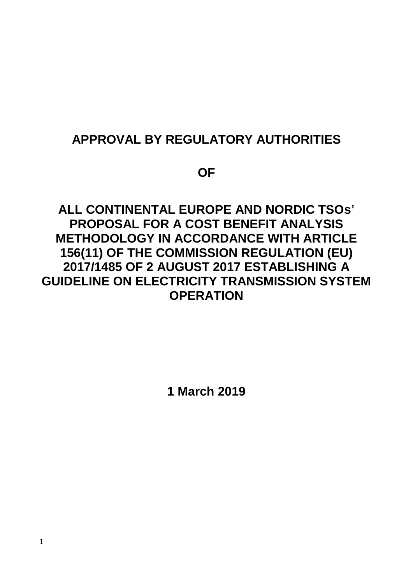# **APPROVAL BY REGULATORY AUTHORITIES**

**OF**

# **ALL CONTINENTAL EUROPE AND NORDIC TSOs' PROPOSAL FOR A COST BENEFIT ANALYSIS METHODOLOGY IN ACCORDANCE WITH ARTICLE 156(11) OF THE COMMISSION REGULATION (EU) 2017/1485 OF 2 AUGUST 2017 ESTABLISHING A GUIDELINE ON ELECTRICITY TRANSMISSION SYSTEM OPERATION**

**1 March 2019**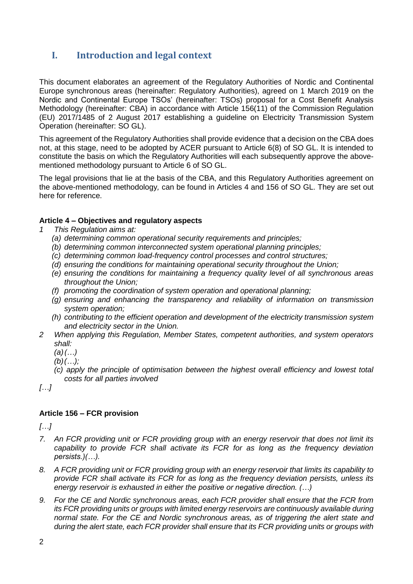# **I. Introduction and legal context**

This document elaborates an agreement of the Regulatory Authorities of Nordic and Continental Europe synchronous areas (hereinafter: Regulatory Authorities), agreed on 1 March 2019 on the Nordic and Continental Europe TSOs' (hereinafter: TSOs) proposal for a Cost Benefit Analysis Methodology (hereinafter: CBA) in accordance with Article 156(11) of the Commission Regulation (EU) 2017/1485 of 2 August 2017 establishing a guideline on Electricity Transmission System Operation (hereinafter: SO GL).

This agreement of the Regulatory Authorities shall provide evidence that a decision on the CBA does not, at this stage, need to be adopted by ACER pursuant to Article 6(8) of SO GL. It is intended to constitute the basis on which the Regulatory Authorities will each subsequently approve the abovementioned methodology pursuant to Article 6 of SO GL.

The legal provisions that lie at the basis of the CBA, and this Regulatory Authorities agreement on the above-mentioned methodology*,* can be found in Articles 4 and 156 of SO GL. They are set out here for reference.

#### **Article 4 – Objectives and regulatory aspects**

- *1 This Regulation aims at:*
	- *(a) determining common operational security requirements and principles;*
	- *(b) determining common interconnected system operational planning principles;*
	- *(c) determining common load-frequency control processes and control structures;*
	- *(d) ensuring the conditions for maintaining operational security throughout the Union;*
	- *(e) ensuring the conditions for maintaining a frequency quality level of all synchronous areas throughout the Union;*
	- *(f) promoting the coordination of system operation and operational planning;*
	- *(g) ensuring and enhancing the transparency and reliability of information on transmission system operation;*
	- *(h) contributing to the efficient operation and development of the electricity transmission system and electricity sector in the Union.*
- *2 When applying this Regulation, Member States, competent authorities, and system operators shall:*
	- *(a)(…)*
	- *(b)(…);*
	- *(c) apply the principle of optimisation between the highest overall efficiency and lowest total costs for all parties involved*

*[…]*

## **Article 156 – FCR provision**

*[…]*

- *7. An FCR providing unit or FCR providing group with an energy reservoir that does not limit its capability to provide FCR shall activate its FCR for as long as the frequency deviation persists.)(…).*
- *8. A FCR providing unit or FCR providing group with an energy reservoir that limits its capability to provide FCR shall activate its FCR for as long as the frequency deviation persists, unless its energy reservoir is exhausted in either the positive or negative direction. (…)*
- *9. For the CE and Nordic synchronous areas, each FCR provider shall ensure that the FCR from its FCR providing units or groups with limited energy reservoirs are continuously available during normal state. For the CE and Nordic synchronous areas, as of triggering the alert state and during the alert state, each FCR provider shall ensure that its FCR providing units or groups with*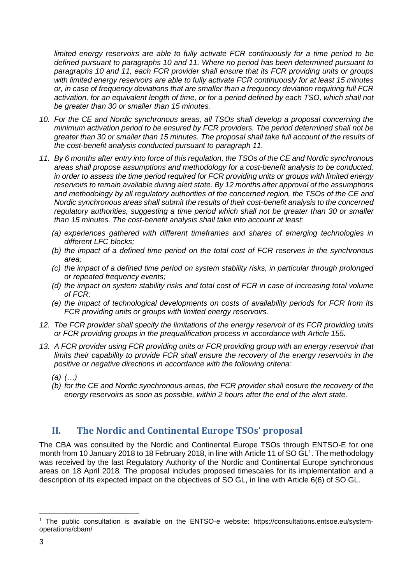*limited energy reservoirs are able to fully activate FCR continuously for a time period to be defined pursuant to paragraphs 10 and 11. Where no period has been determined pursuant to paragraphs 10 and 11, each FCR provider shall ensure that its FCR providing units or groups with limited energy reservoirs are able to fully activate FCR continuously for at least 15 minutes or, in case of frequency deviations that are smaller than a frequency deviation requiring full FCR activation, for an equivalent length of time, or for a period defined by each TSO, which shall not be greater than 30 or smaller than 15 minutes.*

- *10. For the CE and Nordic synchronous areas, all TSOs shall develop a proposal concerning the minimum activation period to be ensured by FCR providers. The period determined shall not be greater than 30 or smaller than 15 minutes. The proposal shall take full account of the results of the cost-benefit analysis conducted pursuant to paragraph 11.*
- *11. By 6 months after entry into force of this regulation, the TSOs of the CE and Nordic synchronous areas shall propose assumptions and methodology for a cost-benefit analysis to be conducted, in order to assess the time period required for FCR providing units or groups with limited energy reservoirs to remain available during alert state. By 12 months after approval of the assumptions and methodology by all regulatory authorities of the concerned region, the TSOs of the CE and Nordic synchronous areas shall submit the results of their cost-benefit analysis to the concerned regulatory authorities, suggesting a time period which shall not be greater than 30 or smaller than 15 minutes. The cost-benefit analysis shall take into account at least:*
	- *(a) experiences gathered with different timeframes and shares of emerging technologies in different LFC blocks;*
	- *(b) the impact of a defined time period on the total cost of FCR reserves in the synchronous area;*
	- *(c) the impact of a defined time period on system stability risks, in particular through prolonged or repeated frequency events;*
	- *(d) the impact on system stability risks and total cost of FCR in case of increasing total volume of FCR;*
	- *(e) the impact of technological developments on costs of availability periods for FCR from its FCR providing units or groups with limited energy reservoirs.*
- *12. The FCR provider shall specify the limitations of the energy reservoir of its FCR providing units or FCR providing groups in the prequalification process in accordance with Article 155.*
- *13. A FCR provider using FCR providing units or FCR providing group with an energy reservoir that limits their capability to provide FCR shall ensure the recovery of the energy reservoirs in the positive or negative directions in accordance with the following criteria:*
	- *(a) (…)*
	- *(b) for the CE and Nordic synchronous areas, the FCR provider shall ensure the recovery of the energy reservoirs as soon as possible, within 2 hours after the end of the alert state.*

# **II. The Nordic and Continental Europe TSOs' proposal**

The CBA was consulted by the Nordic and Continental Europe TSOs through ENTSO-E for one month from 10 January 2018 to 18 February 2018, in line with Article 11 of SO GL<sup>1</sup>. The methodology was received by the last Regulatory Authority of the Nordic and Continental Europe synchronous areas on 18 April 2018*.* The proposal includes proposed timescales for its implementation and a description of its expected impact on the objectives of SO GL, in line with Article 6(6) of SO GL.

<sup>-</sup><sup>1</sup> The public consultation is available on the ENTSO-e website: https://consultations.entsoe.eu/systemoperations/cbam/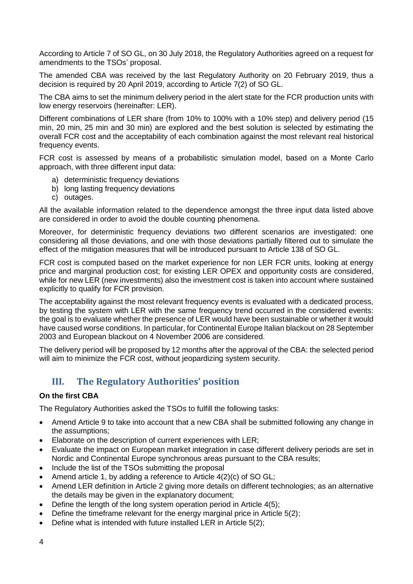According to Article 7 of SO GL, on 30 July 2018, the Regulatory Authorities agreed on a request for amendments to the TSOs' proposal.

The amended CBA was received by the last Regulatory Authority on 20 February 2019, thus a decision is required by 20 April 2019, according to Article 7(2) of SO GL.

The CBA aims to set the minimum delivery period in the alert state for the FCR production units with low energy reservoirs (hereinafter: LER).

Different combinations of LER share (from 10% to 100% with a 10% step) and delivery period (15 min, 20 min, 25 min and 30 min) are explored and the best solution is selected by estimating the overall FCR cost and the acceptability of each combination against the most relevant real historical frequency events.

FCR cost is assessed by means of a probabilistic simulation model, based on a Monte Carlo approach, with three different input data:

- a) deterministic frequency deviations
- b) long lasting frequency deviations
- c) outages.

All the available information related to the dependence amongst the three input data listed above are considered in order to avoid the double counting phenomena.

Moreover, for deterministic frequency deviations two different scenarios are investigated: one considering all those deviations, and one with those deviations partially filtered out to simulate the effect of the mitigation measures that will be introduced pursuant to Article 138 of SO GL.

FCR cost is computed based on the market experience for non LER FCR units, looking at energy price and marginal production cost; for existing LER OPEX and opportunity costs are considered, while for new LER (new investments) also the investment cost is taken into account where sustained explicitly to qualify for FCR provision.

The acceptability against the most relevant frequency events is evaluated with a dedicated process, by testing the system with LER with the same frequency trend occurred in the considered events: the goal is to evaluate whether the presence of LER would have been sustainable or whether it would have caused worse conditions. In particular, for Continental Europe Italian blackout on 28 September 2003 and European blackout on 4 November 2006 are considered.

The delivery period will be proposed by 12 months after the approval of the CBA: the selected period will aim to minimize the FCR cost, without jeopardizing system security.

# **III. The Regulatory Authorities' position**

#### **On the first CBA**

The Regulatory Authorities asked the TSOs to fulfill the following tasks:

- Amend Article 9 to take into account that a new CBA shall be submitted following any change in the assumptions;
- Elaborate on the description of current experiences with LER;
- Evaluate the impact on European market integration in case different delivery periods are set in Nordic and Continental Europe synchronous areas pursuant to the CBA results;
- Include the list of the TSOs submitting the proposal
- Amend article 1, by adding a reference to Article 4(2)(c) of SO GL;
- Amend LER definition in Article 2 giving more details on different technologies; as an alternative the details may be given in the explanatory document;
- Define the length of the long system operation period in Article 4(5);
- Define the timeframe relevant for the energy marginal price in Article 5(2);
- Define what is intended with future installed LER in Article 5(2);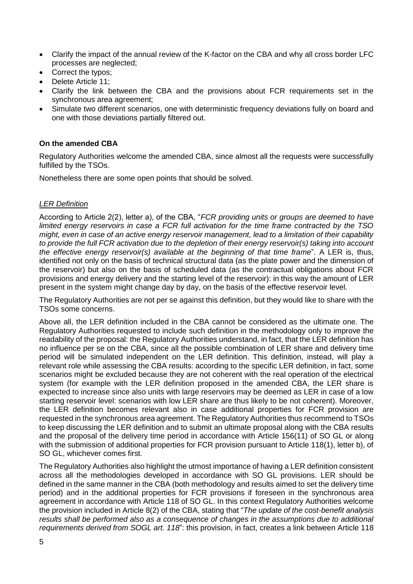- Clarify the impact of the annual review of the K-factor on the CBA and why all cross border LFC processes are neglected;
- Correct the typos;
- Delete Article 11;
- Clarify the link between the CBA and the provisions about FCR requirements set in the synchronous area agreement;
- Simulate two different scenarios, one with deterministic frequency deviations fully on board and one with those deviations partially filtered out.

#### **On the amended CBA**

Regulatory Authorities welcome the amended CBA, since almost all the requests were successfully fulfilled by the TSOs.

Nonetheless there are some open points that should be solved.

#### *LER Definition*

According to Article 2(2), letter a), of the CBA, "*FCR providing units or groups are deemed to have limited energy reservoirs in case a FCR full activation for the time frame contracted by the TSO might, even in case of an active energy reservoir management, lead to a limitation of their capability to provide the full FCR activation due to the depletion of their energy reservoir(s) taking into account the effective energy reservoir(s) available at the beginning of that time frame*". A LER is, thus, identified not only on the basis of technical structural data (as the plate power and the dimension of the reservoir) but also on the basis of scheduled data (as the contractual obligations about FCR provisions and energy delivery and the starting level of the reservoir): in this way the amount of LER present in the system might change day by day, on the basis of the effective reservoir level.

The Regulatory Authorities are not per se against this definition, but they would like to share with the TSOs some concerns.

Above all, the LER definition included in the CBA cannot be considered as the ultimate one. The Regulatory Authorities requested to include such definition in the methodology only to improve the readability of the proposal: the Regulatory Authorities understand, in fact, that the LER definition has no influence per se on the CBA, since all the possible combination of LER share and delivery time period will be simulated independent on the LER definition. This definition, instead, will play a relevant role while assessing the CBA results: according to the specific LER definition, in fact, some scenarios might be excluded because they are not coherent with the real operation of the electrical system (for example with the LER definition proposed in the amended CBA, the LER share is expected to increase since also units with large reservoirs may be deemed as LER in case of a low starting reservoir level: scenarios with low LER share are thus likely to be not coherent). Moreover, the LER definition becomes relevant also in case additional properties for FCR provision are requested in the synchronous area agreement. The Regulatory Authorities thus recommend to TSOs to keep discussing the LER definition and to submit an ultimate proposal along with the CBA results and the proposal of the delivery time period in accordance with Article 156(11) of SO GL or along with the submission of additional properties for FCR provision pursuant to Article 118(1), letter b), of SO GL, whichever comes first.

The Regulatory Authorities also highlight the utmost importance of having a LER definition consistent across all the methodologies developed in accordance with SO GL provisions. LER should be defined in the same manner in the CBA (both methodology and results aimed to set the delivery time period) and in the additional properties for FCR provisions if foreseen in the synchronous area agreement in accordance with Article 118 of SO GL. In this context Regulatory Authorities welcome the provision included in Article 8(2) of the CBA, stating that "*The update of the cost-benefit analysis results shall be performed also as a consequence of changes in the assumptions due to additional requirements derived from SOGL art. 118*": this provision, in fact, creates a link between Article 118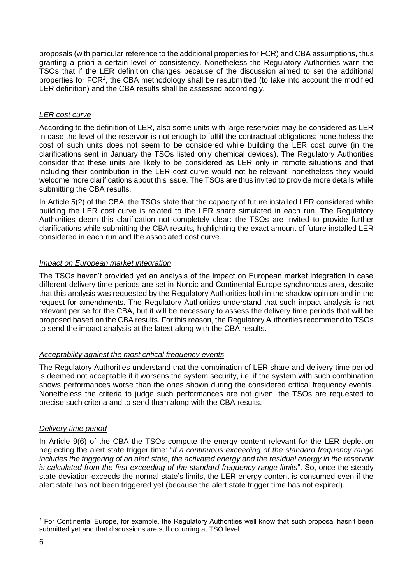proposals (with particular reference to the additional properties for FCR) and CBA assumptions, thus granting a priori a certain level of consistency. Nonetheless the Regulatory Authorities warn the TSOs that if the LER definition changes because of the discussion aimed to set the additional properties for FCR<sup>2</sup>, the CBA methodology shall be resubmitted (to take into account the modified LER definition) and the CBA results shall be assessed accordingly.

### *LER cost curve*

According to the definition of LER, also some units with large reservoirs may be considered as LER in case the level of the reservoir is not enough to fulfill the contractual obligations: nonetheless the cost of such units does not seem to be considered while building the LER cost curve (in the clarifications sent in January the TSOs listed only chemical devices). The Regulatory Authorities consider that these units are likely to be considered as LER only in remote situations and that including their contribution in the LER cost curve would not be relevant, nonetheless they would welcome more clarifications about this issue. The TSOs are thus invited to provide more details while submitting the CBA results.

In Article 5(2) of the CBA, the TSOs state that the capacity of future installed LER considered while building the LER cost curve is related to the LER share simulated in each run. The Regulatory Authorities deem this clarification not completely clear: the TSOs are invited to provide further clarifications while submitting the CBA results, highlighting the exact amount of future installed LER considered in each run and the associated cost curve.

#### *Impact on European market integration*

The TSOs haven't provided yet an analysis of the impact on European market integration in case different delivery time periods are set in Nordic and Continental Europe synchronous area, despite that this analysis was requested by the Regulatory Authorities both in the shadow opinion and in the request for amendments. The Regulatory Authorities understand that such impact analysis is not relevant per se for the CBA, but it will be necessary to assess the delivery time periods that will be proposed based on the CBA results. For this reason, the Regulatory Authorities recommend to TSOs to send the impact analysis at the latest along with the CBA results.

## *Acceptability against the most critical frequency events*

The Regulatory Authorities understand that the combination of LER share and delivery time period is deemed not acceptable if it worsens the system security, i.e. if the system with such combination shows performances worse than the ones shown during the considered critical frequency events. Nonetheless the criteria to judge such performances are not given: the TSOs are requested to precise such criteria and to send them along with the CBA results.

## *Delivery time period*

In Article 9(6) of the CBA the TSOs compute the energy content relevant for the LER depletion neglecting the alert state trigger time: "*if a continuous exceeding of the standard frequency range includes the triggering of an alert state, the activated energy and the residual energy in the reservoir is calculated from the first exceeding of the standard frequency range limits*". So, once the steady state deviation exceeds the normal state's limits, the LER energy content is consumed even if the alert state has not been triggered yet (because the alert state trigger time has not expired).

<sup>-</sup><sup>2</sup> For Continental Europe, for example, the Regulatory Authorities well know that such proposal hasn't been submitted yet and that discussions are still occurring at TSO level.